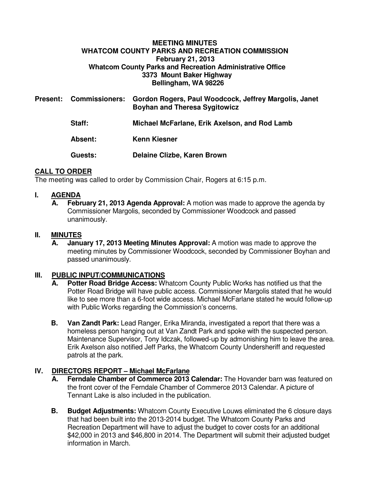## **MEETING MINUTES WHATCOM COUNTY PARKS AND RECREATION COMMISSION February 21, 2013 Whatcom County Parks and Recreation Administrative Office 3373 Mount Baker Highway Bellingham, WA 98226**

| <b>Present:</b> | <b>Commissioners:</b> | Gordon Rogers, Paul Woodcock, Jeffrey Margolis, Janet<br><b>Boyhan and Theresa Sygitowicz</b> |
|-----------------|-----------------------|-----------------------------------------------------------------------------------------------|
|                 | Staff:                | Michael McFarlane, Erik Axelson, and Rod Lamb                                                 |
|                 | Absent:               | <b>Kenn Kiesner</b>                                                                           |
|                 | <b>Guests:</b>        | Delaine Clizbe, Karen Brown                                                                   |

# **CALL TO ORDER**

The meeting was called to order by Commission Chair, Rogers at 6:15 p.m.

## **I. AGENDA**

**A. February 21, 2013 Agenda Approval:** A motion was made to approve the agenda by Commissioner Margolis, seconded by Commissioner Woodcock and passed unanimously.

## **II. MINUTES**

**A. January 17, 2013 Meeting Minutes Approval:** A motion was made to approve the meeting minutes by Commissioner Woodcock, seconded by Commissioner Boyhan and passed unanimously.

## **III. PUBLIC INPUT/COMMUNICATIONS**

- **A. Potter Road Bridge Access:** Whatcom County Public Works has notified us that the Potter Road Bridge will have public access. Commissioner Margolis stated that he would like to see more than a 6-foot wide access. Michael McFarlane stated he would follow-up with Public Works regarding the Commission's concerns.
- **B.** Van Zandt Park: Lead Ranger, Erika Miranda, investigated a report that there was a homeless person hanging out at Van Zandt Park and spoke with the suspected person. Maintenance Supervisor, Tony Idczak, followed-up by admonishing him to leave the area. Erik Axelson also notified Jeff Parks, the Whatcom County Undersheriff and requested patrols at the park.

# **IV. DIRECTORS REPORT – Michael McFarlane**

- **A. Ferndale Chamber of Commerce 2013 Calendar:** The Hovander barn was featured on the front cover of the Ferndale Chamber of Commerce 2013 Calendar. A picture of Tennant Lake is also included in the publication.
- **B. Budget Adjustments:** Whatcom County Executive Louws eliminated the 6 closure days that had been built into the 2013-2014 budget. The Whatcom County Parks and Recreation Department will have to adjust the budget to cover costs for an additional \$42,000 in 2013 and \$46,800 in 2014. The Department will submit their adjusted budget information in March.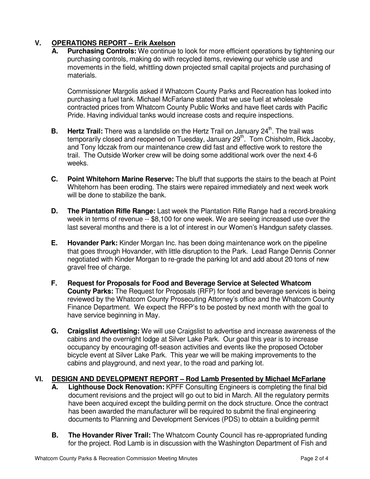# **V. OPERATIONS REPORT – Erik Axelson**

**Purchasing Controls:** We continue to look for more efficient operations by tightening our purchasing controls, making do with recycled items, reviewing our vehicle use and movements in the field, whittling down projected small capital projects and purchasing of materials.

Commissioner Margolis asked if Whatcom County Parks and Recreation has looked into purchasing a fuel tank. Michael McFarlane stated that we use fuel at wholesale contracted prices from Whatcom County Public Works and have fleet cards with Pacific Pride. Having individual tanks would increase costs and require inspections.

- **B.** Hertz Trail: There was a landslide on the Hertz Trail on January 24<sup>th</sup>. The trail was temporarily closed and reopened on Tuesday, January  $29<sup>th</sup>$ . Tom Chisholm, Rick Jacoby, and Tony Idczak from our maintenance crew did fast and effective work to restore the trail. The Outside Worker crew will be doing some additional work over the next 4-6 weeks.
- **C. Point Whitehorn Marine Reserve:** The bluff that supports the stairs to the beach at Point Whitehorn has been eroding. The stairs were repaired immediately and next week work will be done to stabilize the bank.
- **D.** The Plantation Rifle Range: Last week the Plantation Rifle Range had a record-breaking week in terms of revenue -- \$8,100 for one week. We are seeing increased use over the last several months and there is a lot of interest in our Women's Handgun safety classes.
- **E. Hovander Park:** Kinder Morgan Inc. has been doing maintenance work on the pipeline that goes through Hovander, with little disruption to the Park. Lead Range Dennis Conner negotiated with Kinder Morgan to re-grade the parking lot and add about 20 tons of new gravel free of charge.
- **F. Request for Proposals for Food and Beverage Service at Selected Whatcom County Parks:** The Request for Proposals (RFP) for food and beverage services is being reviewed by the Whatcom County Prosecuting Attorney's office and the Whatcom County Finance Department. We expect the RFP's to be posted by next month with the goal to have service beginning in May.
- **G. Craigslist Advertising:** We will use Craigslist to advertise and increase awareness of the cabins and the overnight lodge at Silver Lake Park. Our goal this year is to increase occupancy by encouraging off-season activities and events like the proposed October bicycle event at Silver Lake Park. This year we will be making improvements to the cabins and playground, and next year, to the road and parking lot.

## **VI. DESIGN AND DEVELOPMENT REPORT – Rod Lamb Presented by Michael McFarlane**

- **A. Lighthouse Dock Renovation:** KPFF Consulting Engineers is completing the final bid document revisions and the project will go out to bid in March. All the regulatory permits have been acquired except the building permit on the dock structure. Once the contract has been awarded the manufacturer will be required to submit the final engineering documents to Planning and Development Services (PDS) to obtain a building permit
- **B.** The Hovander River Trail: The Whatcom County Council has re-appropriated funding for the project. Rod Lamb is in discussion with the Washington Department of Fish and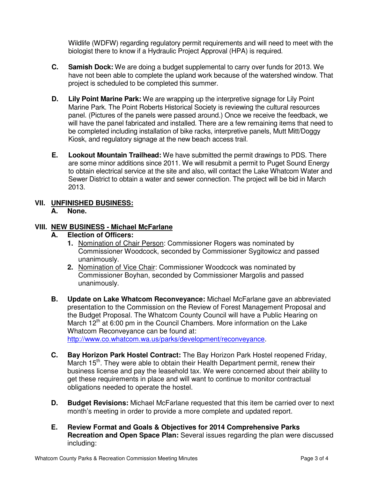Wildlife (WDFW) regarding regulatory permit requirements and will need to meet with the biologist there to know if a Hydraulic Project Approval (HPA) is required.

- **C. Samish Dock:** We are doing a budget supplemental to carry over funds for 2013. We have not been able to complete the upland work because of the watershed window. That project is scheduled to be completed this summer.
- **D. Lily Point Marine Park:** We are wrapping up the interpretive signage for Lily Point Marine Park. The Point Roberts Historical Society is reviewing the cultural resources panel. (Pictures of the panels were passed around.) Once we receive the feedback, we will have the panel fabricated and installed. There are a few remaining items that need to be completed including installation of bike racks, interpretive panels, Mutt Mitt/Doggy Kiosk, and regulatory signage at the new beach access trail.
- **E. Lookout Mountain Trailhead:** We have submitted the permit drawings to PDS. There are some minor additions since 2011. We will resubmit a permit to Puget Sound Energy to obtain electrical service at the site and also, will contact the Lake Whatcom Water and Sewer District to obtain a water and sewer connection. The project will be bid in March 2013.

# **VII. UNFINISHED BUSINESS:**

**A. None.** 

# **VIII. NEW BUSINESS - Michael McFarlane**

- **A. Election of Officers:** 
	- **1.** Nomination of Chair Person: Commissioner Rogers was nominated by Commissioner Woodcock, seconded by Commissioner Sygitowicz and passed unanimously.
	- **2.** Nomination of Vice Chair: Commissioner Woodcock was nominated by Commissioner Boyhan, seconded by Commissioner Margolis and passed unanimously.
- **B. Update on Lake Whatcom Reconveyance:** Michael McFarlane gave an abbreviated presentation to the Commission on the Review of Forest Management Proposal and the Budget Proposal. The Whatcom County Council will have a Public Hearing on March  $12<sup>th</sup>$  at 6:00 pm in the Council Chambers. More information on the Lake Whatcom Reconveyance can be found at: http://www.co.whatcom.wa.us/parks/development/reconveyance.
- **C. Bay Horizon Park Hostel Contract:** The Bay Horizon Park Hostel reopened Friday, March 15<sup>th</sup>. They were able to obtain their Health Department permit, renew their business license and pay the leasehold tax. We were concerned about their ability to get these requirements in place and will want to continue to monitor contractual obligations needed to operate the hostel.
- **D.** Budget Revisions: Michael McFarlane requested that this item be carried over to next month's meeting in order to provide a more complete and updated report.
- **E. Review Format and Goals & Objectives for 2014 Comprehensive Parks Recreation and Open Space Plan:** Several issues regarding the plan were discussed including: